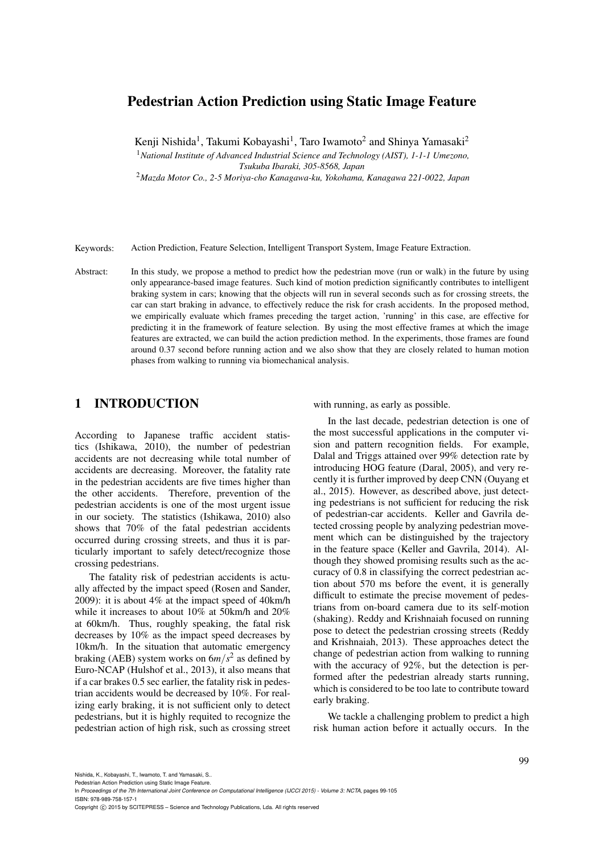# Pedestrian Action Prediction using Static Image Feature

Kenji Nishida<sup>1</sup>, Takumi Kobayashi<sup>1</sup>, Taro Iwamoto<sup>2</sup> and Shinya Yamasaki<sup>2</sup>

<sup>1</sup>*National Institute of Advanced Industrial Science and Technology (AIST), 1-1-1 Umezono,*

*Tsukuba Ibaraki, 305-8568, Japan*

<sup>2</sup>*Mazda Motor Co., 2-5 Moriya-cho Kanagawa-ku, Yokohama, Kanagawa 221-0022, Japan*

Keywords: Action Prediction, Feature Selection, Intelligent Transport System, Image Feature Extraction.

Abstract: In this study, we propose a method to predict how the pedestrian move (run or walk) in the future by using only appearance-based image features. Such kind of motion prediction significantly contributes to intelligent braking system in cars; knowing that the objects will run in several seconds such as for crossing streets, the car can start braking in advance, to effectively reduce the risk for crash accidents. In the proposed method, we empirically evaluate which frames preceding the target action, 'running' in this case, are effective for predicting it in the framework of feature selection. By using the most effective frames at which the image features are extracted, we can build the action prediction method. In the experiments, those frames are found around 0.37 second before running action and we also show that they are closely related to human motion phases from walking to running via biomechanical analysis.

# 1 INTRODUCTION

According to Japanese traffic accident statistics (Ishikawa, 2010), the number of pedestrian accidents are not decreasing while total number of accidents are decreasing. Moreover, the fatality rate in the pedestrian accidents are five times higher than the other accidents. Therefore, prevention of the pedestrian accidents is one of the most urgent issue in our society. The statistics (Ishikawa, 2010) also shows that 70% of the fatal pedestrian accidents occurred during crossing streets, and thus it is particularly important to safely detect/recognize those crossing pedestrians.

The fatality risk of pedestrian accidents is actually affected by the impact speed (Rosen and Sander, 2009): it is about 4% at the impact speed of 40km/h while it increases to about 10% at 50km/h and 20% at 60km/h. Thus, roughly speaking, the fatal risk decreases by 10% as the impact speed decreases by 10km/h. In the situation that automatic emergency braking (AEB) system works on  $6m/s^2$  as defined by Euro-NCAP (Hulshof et al., 2013), it also means that if a car brakes 0.5 sec earlier, the fatality risk in pedestrian accidents would be decreased by 10%. For realizing early braking, it is not sufficient only to detect pedestrians, but it is highly requited to recognize the pedestrian action of high risk, such as crossing street with running, as early as possible.

In the last decade, pedestrian detection is one of the most successful applications in the computer vision and pattern recognition fields. For example, Dalal and Triggs attained over 99% detection rate by introducing HOG feature (Daral, 2005), and very recently it is further improved by deep CNN (Ouyang et al., 2015). However, as described above, just detecting pedestrians is not sufficient for reducing the risk of pedestrian-car accidents. Keller and Gavrila detected crossing people by analyzing pedestrian movement which can be distinguished by the trajectory in the feature space (Keller and Gavrila, 2014). Although they showed promising results such as the accuracy of 0.8 in classifying the correct pedestrian action about 570 ms before the event, it is generally difficult to estimate the precise movement of pedestrians from on-board camera due to its self-motion (shaking). Reddy and Krishnaiah focused on running pose to detect the pedestrian crossing streets (Reddy and Krishnaiah, 2013). These approaches detect the change of pedestrian action from walking to running with the accuracy of 92%, but the detection is performed after the pedestrian already starts running, which is considered to be too late to contribute toward early braking.

We tackle a challenging problem to predict a high risk human action before it actually occurs. In the

Nishida, K., Kobayashi, T., Iwamoto, T. and Yamasaki, S..

In *Proceedings of the 7th International Joint Conference on Computational Intelligence (IJCCI 2015) - Volume 3: NCTA*, pages 99-105 ISBN: 978-989-758-157-1

Copyright C 2015 by SCITEPRESS - Science and Technology Publications, Lda. All rights reserved

Pedestrian Action Prediction using Static Image Feature.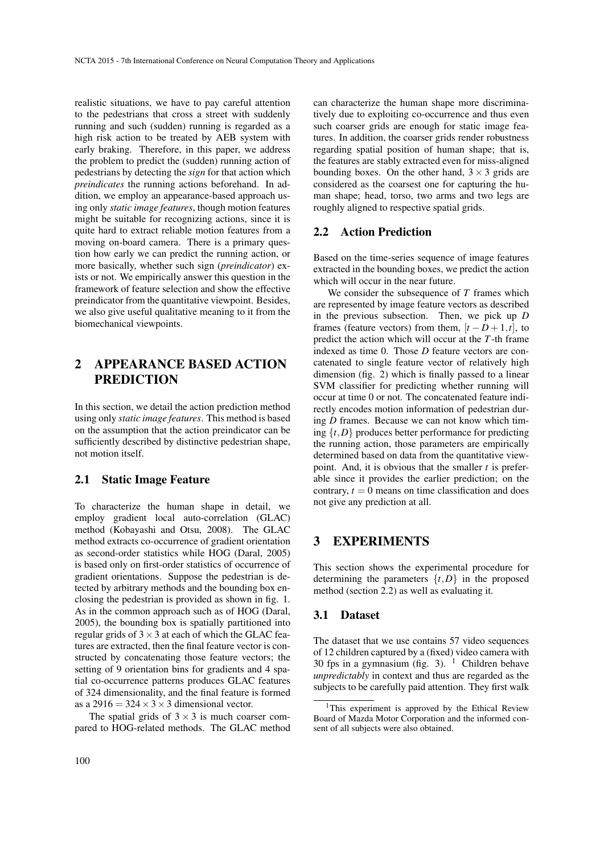realistic situations, we have to pay careful attention to the pedestrians that cross a street with suddenly running and such (sudden) running is regarded as a high risk action to be treated by AEB system with early braking. Therefore, in this paper, we address the problem to predict the (sudden) running action of pedestrians by detecting the *sign* for that action which *preindicates* the running actions beforehand. In addition, we employ an appearance-based approach using only *static image features*, though motion features might be suitable for recognizing actions, since it is quite hard to extract reliable motion features from a moving on-board camera. There is a primary question how early we can predict the running action, or more basically, whether such sign (*preindicator*) exists or not. We empirically answer this question in the framework of feature selection and show the effective preindicator from the quantitative viewpoint. Besides, we also give useful qualitative meaning to it from the biomechanical viewpoints.

# 2 APPEARANCE BASED ACTION PREDICTION

In this section, we detail the action prediction method using only *static image features*. This method is based on the assumption that the action preindicator can be sufficiently described by distinctive pedestrian shape, not motion itself.

#### 2.1 Static Image Feature

To characterize the human shape in detail, we employ gradient local auto-correlation (GLAC) method (Kobayashi and Otsu, 2008). The GLAC method extracts co-occurrence of gradient orientation as second-order statistics while HOG (Daral, 2005) is based only on first-order statistics of occurrence of gradient orientations. Suppose the pedestrian is detected by arbitrary methods and the bounding box enclosing the pedestrian is provided as shown in fig. 1. As in the common approach such as of HOG (Daral, 2005), the bounding box is spatially partitioned into regular grids of  $3 \times 3$  at each of which the GLAC features are extracted, then the final feature vector is constructed by concatenating those feature vectors; the setting of 9 orientation bins for gradients and 4 spatial co-occurrence patterns produces GLAC features of 324 dimensionality, and the final feature is formed as a 2916 =  $324 \times 3 \times 3$  dimensional vector.

The spatial grids of  $3 \times 3$  is much coarser compared to HOG-related methods. The GLAC method can characterize the human shape more discriminatively due to exploiting co-occurrence and thus even such coarser grids are enough for static image features. In addition, the coarser grids render robustness regarding spatial position of human shape; that is, the features are stably extracted even for miss-aligned bounding boxes. On the other hand,  $3 \times 3$  grids are considered as the coarsest one for capturing the human shape; head, torso, two arms and two legs are roughly aligned to respective spatial grids.

#### 2.2 Action Prediction

Based on the time-series sequence of image features extracted in the bounding boxes, we predict the action which will occur in the near future.

We consider the subsequence of *T* frames which are represented by image feature vectors as described in the previous subsection. Then, we pick up *D* frames (feature vectors) from them,  $[t - D + 1, t]$ , to predict the action which will occur at the *T*-th frame indexed as time 0. Those *D* feature vectors are concatenated to single feature vector of relatively high dimension (fig. 2) which is finally passed to a linear SVM classifier for predicting whether running will occur at time 0 or not. The concatenated feature indirectly encodes motion information of pedestrian during *D* frames. Because we can not know which timing  $\{t, D\}$  produces better performance for predicting the running action, those parameters are empirically determined based on data from the quantitative viewpoint. And, it is obvious that the smaller *t* is preferable since it provides the earlier prediction; on the contrary,  $t = 0$  means on time classification and does not give any prediction at all.

# 3 EXPERIMENTS

This section shows the experimental procedure for determining the parameters  $\{t, D\}$  in the proposed method (section 2.2) as well as evaluating it.

### 3.1 Dataset

The dataset that we use contains 57 video sequences of 12 children captured by a (fixed) video camera with 30 fps in a gymnasium (fig. 3).  $\frac{1}{1}$  Children behave *unpredictably* in context and thus are regarded as the subjects to be carefully paid attention. They first walk

<sup>&</sup>lt;sup>1</sup>This experiment is approved by the Ethical Review Board of Mazda Motor Corporation and the informed consent of all subjects were also obtained.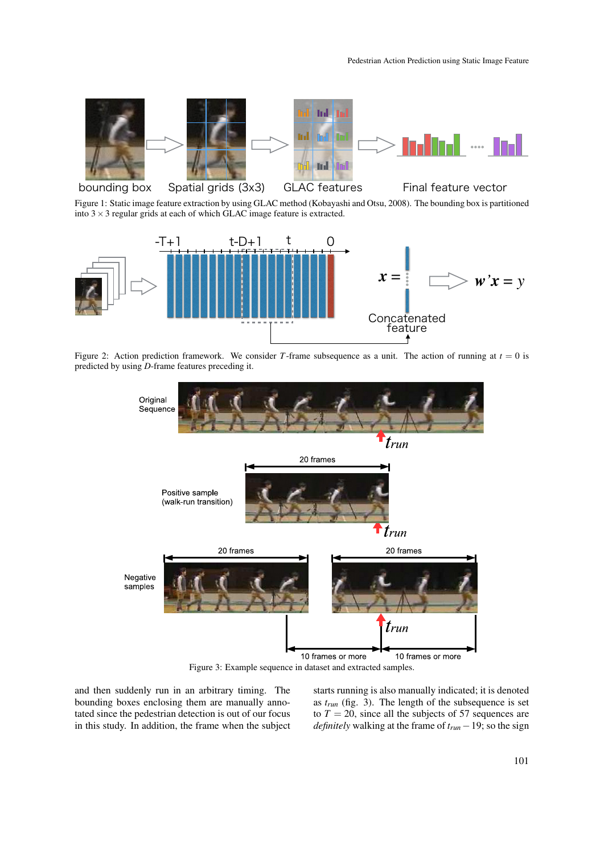

Figure 1: Static image feature extraction by using GLAC method (Kobayashi and Otsu, 2008). The bounding box is partitioned into  $3 \times 3$  regular grids at each of which GLAC image feature is extracted.



Figure 2: Action prediction framework. We consider *T*-frame subsequence as a unit. The action of running at  $t = 0$  is predicted by using *D*-frame features preceding it.



Figure 3: Example sequence in dataset and extracted samples.

and then suddenly run in an arbitrary timing. The bounding boxes enclosing them are manually annotated since the pedestrian detection is out of our focus in this study. In addition, the frame when the subject starts running is also manually indicated; it is denoted as *trun* (fig. 3). The length of the subsequence is set to  $T = 20$ , since all the subjects of 57 sequences are *definitely* walking at the frame of *trun* −19; so the sign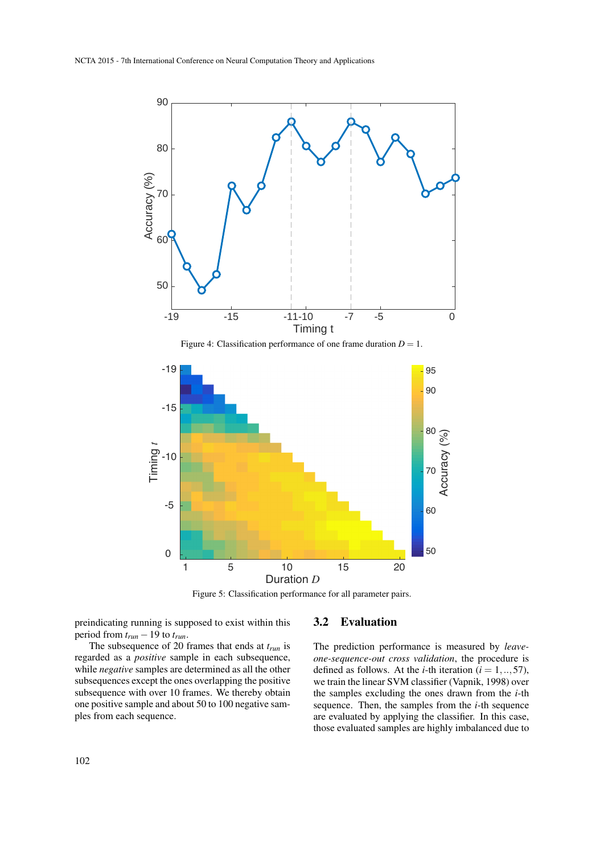

Duration *D* Figure 5: Classification performance for all parameter pairs.

preindicating running is supposed to exist within this period from  $t_{run}$  – 19 to  $t_{run}$ .

## 3.2 Evaluation

The subsequence of 20 frames that ends at *trun* is regarded as a *positive* sample in each subsequence, while *negative* samples are determined as all the other subsequences except the ones overlapping the positive subsequence with over 10 frames. We thereby obtain one positive sample and about 50 to 100 negative samples from each sequence.

The prediction performance is measured by *leaveone-sequence-out cross validation*, the procedure is defined as follows. At the *i*-th iteration ( $i = 1, ..., 57$ ), we train the linear SVM classifier (Vapnik, 1998) over the samples excluding the ones drawn from the *i*-th sequence. Then, the samples from the *i*-th sequence are evaluated by applying the classifier. In this case, those evaluated samples are highly imbalanced due to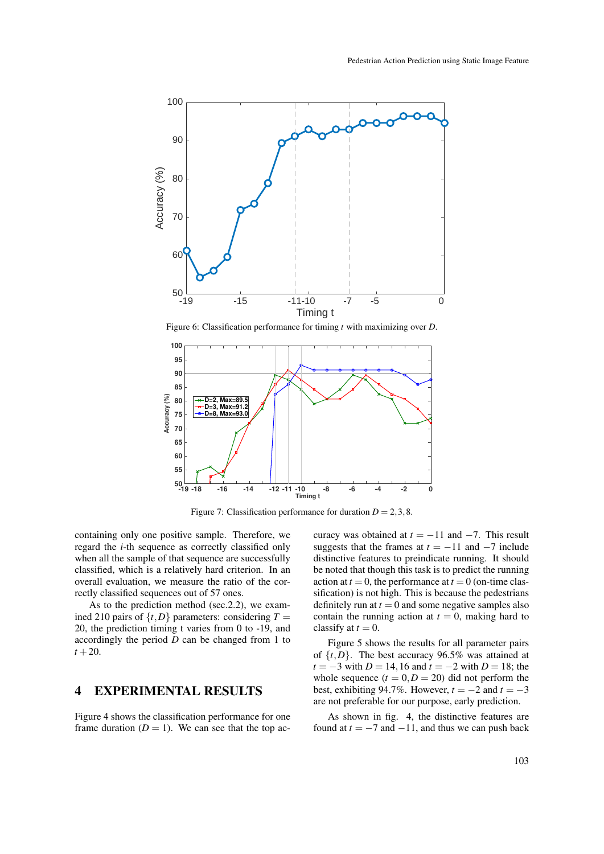

Figure 6: Classification performance for timing *t* with maximizing over *D*.



Figure 7: Classification performance for duration  $D = 2, 3, 8$ .

containing only one positive sample. Therefore, we regard the *i*-th sequence as correctly classified only when all the sample of that sequence are successfully classified, which is a relatively hard criterion. In an overall evaluation, we measure the ratio of the correctly classified sequences out of 57 ones.

As to the prediction method (sec.2.2), we examined 210 pairs of  $\{t, D\}$  parameters: considering  $T =$ 20, the prediction timing t varies from 0 to -19, and accordingly the period *D* can be changed from 1 to  $t + 20.$ 

## 4 EXPERIMENTAL RESULTS

Figure 4 shows the classification performance for one frame duration  $(D = 1)$ . We can see that the top accuracy was obtained at  $t = -11$  and  $-7$ . This result suggests that the frames at  $t = -11$  and  $-7$  include distinctive features to preindicate running. It should be noted that though this task is to predict the running action at  $t = 0$ , the performance at  $t = 0$  (on-time classification) is not high. This is because the pedestrians definitely run at  $t = 0$  and some negative samples also contain the running action at  $t = 0$ , making hard to classify at  $t = 0$ .

Figure 5 shows the results for all parameter pairs of  $\{t, D\}$ . The best accuracy 96.5% was attained at *t* = −3 with *D* = 14,16 and *t* = −2 with *D* = 18; the whole sequence  $(t = 0, D = 20)$  did not perform the best, exhibiting 94.7%. However,  $t = -2$  and  $t = -3$ are not preferable for our purpose, early prediction.

As shown in fig. 4, the distinctive features are found at  $t = -7$  and  $-11$ , and thus we can push back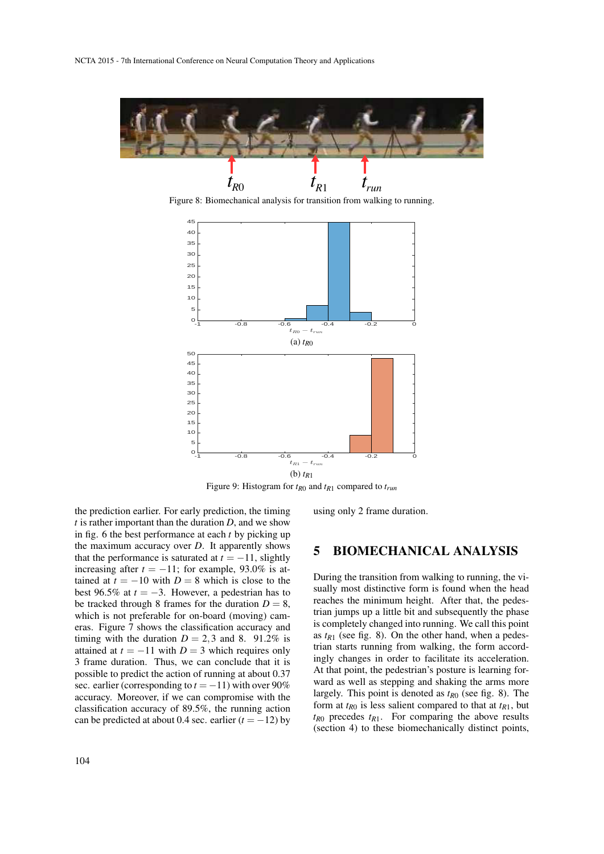

Figure 8: Biomechanical analysis for transition from walking to running.



Figure 9: Histogram for *tR*<sup>0</sup> and *tR*<sup>1</sup> compared to *trun*

the prediction earlier. For early prediction, the timing *t* is rather important than the duration *D*, and we show in fig. 6 the best performance at each *t* by picking up the maximum accuracy over *D*. It apparently shows that the performance is saturated at  $t = -11$ , slightly increasing after  $t = -11$ ; for example, 93.0% is attained at  $t = -10$  with  $D = 8$  which is close to the best 96.5% at  $t = -3$ . However, a pedestrian has to be tracked through 8 frames for the duration  $D = 8$ , which is not preferable for on-board (moving) cameras. Figure 7 shows the classification accuracy and timing with the duration  $D = 2,3$  and 8. 91.2% is attained at  $t = -11$  with  $D = 3$  which requires only 3 frame duration. Thus, we can conclude that it is possible to predict the action of running at about 0.37 sec. earlier (corresponding to  $t = -11$ ) with over 90% accuracy. Moreover, if we can compromise with the classification accuracy of 89.5%, the running action can be predicted at about 0.4 sec. earlier  $(t = -12)$  by using only 2 frame duration.

## 5 BIOMECHANICAL ANALYSIS

During the transition from walking to running, the visually most distinctive form is found when the head reaches the minimum height. After that, the pedestrian jumps up a little bit and subsequently the phase is completely changed into running. We call this point as  $t_{R1}$  (see fig. 8). On the other hand, when a pedestrian starts running from walking, the form accordingly changes in order to facilitate its acceleration. At that point, the pedestrian's posture is learning forward as well as stepping and shaking the arms more largely. This point is denoted as *tR*<sup>0</sup> (see fig. 8). The form at  $t_{R0}$  is less salient compared to that at  $t_{R1}$ , but  $t_{R0}$  precedes  $t_{R1}$ . For comparing the above results (section 4) to these biomechanically distinct points,